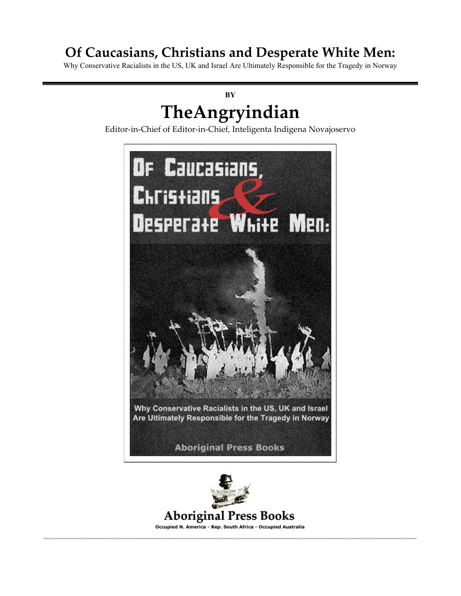## **Of Caucasians, Christians and Desperate White Men:**

Why Conservative Racialists in the US, UK and Israel Are Ultimately Responsible for the Tragedy in Norway

# **BY TheAngryindian**

Editor-in-Chief of Editor-in-Chief, Inteligenta Indigena Novajoservo





**Aboriginal Press Books** 

Occupied N. America - Rep. South Africa - Occupied Australia ==================================================================================================================================================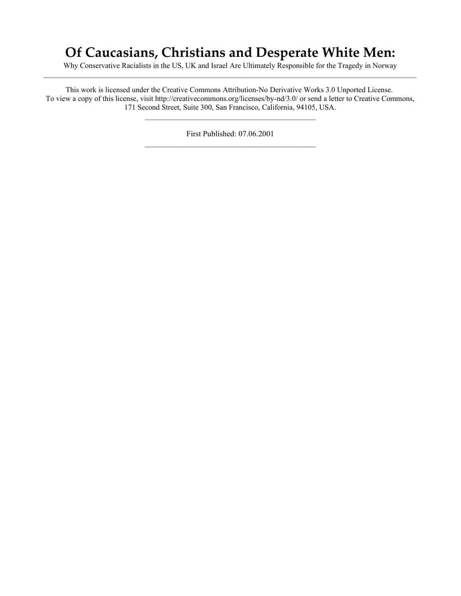## **Of Caucasians, Christians and Desperate White Men:**

Why Conservative Racialists in the US, UK and Israel Are Ultimately Responsible for the Tragedy in Norway ==================================================================================================================================================

This work is licensed under the Creative Commons Attribution-No Derivative Works 3.0 Unported License. To view a copy of this license, visit http://creativecommons.org/licenses/by-nd/3.0/ or send a letter to Creative Commons, 171 Second Street, Suite 300, San Francisco, California, 94105, USA.

 $\mathcal{L}_\text{max}$  and  $\mathcal{L}_\text{max}$  and  $\mathcal{L}_\text{max}$  and  $\mathcal{L}_\text{max}$  and  $\mathcal{L}_\text{max}$ 

First Published: 07.06.2001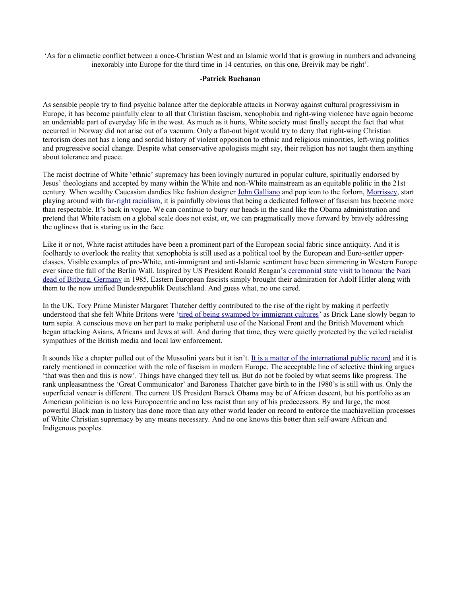'As for a climactic conflict between a once-Christian West and an Islamic world that is growing in numbers and advancing inexorably into Europe for the third time in 14 centuries, on this one, Breivik may be right'.

#### **-Patrick Buchanan**

As sensible people try to find psychic balance after the deplorable attacks in Norway against cultural progressivism in Europe, it has become painfully clear to all that Christian fascism, xenophobia and right-wing violence have again become an undeniable part of everyday life in the west. As much as it hurts, White society must finally accept the fact that what occurred in Norway did not arise out of a vacuum. Only a flat-out bigot would try to deny that right-wing Christian terrorism does not has a long and sordid history of violent opposition to ethnic and religious minorities, left-wing politics and progressive social change. Despite what conservative apologists might say, their religion has not taught them anything about tolerance and peace.

The racist doctrine of White 'ethnic' supremacy has been lovingly nurtured in popular culture, spiritually endorsed by Jesus' theologians and accepted by many within the White and non-White mainstream as an equitable politic in the 21st century. When wealthy Caucasian dandies like fashion designer [John Galliano](http://www.thesun.co.uk/sol/homepage/news/3436757/Film-of-John-Gallianos-racist-rant-in-bar.html) and pop icon to the forlorn, [Morrissey,](http://www.guardian.co.uk/music/2010/sep/03/morrissey-china-subspecies-racism) start playing around with [far-right racialism,](http://motorcycleaupairboy.com/interviews/1992/caucasian.htm) it is painfully obvious that being a dedicated follower of fascism has become more than respectable. It's back in vogue. We can continue to bury our heads in the sand like the Obama administration and pretend that White racism on a global scale does not exist, or, we can pragmatically move forward by bravely addressing the ugliness that is staring us in the face.

Like it or not, White racist attitudes have been a prominent part of the European social fabric since antiquity. And it is foolhardy to overlook the reality that xenophobia is still used as a political tool by the European and Euro-settler upperclasses. Visible examples of pro-White, anti-immigrant and anti-Islamic sentiment have been simmering in Western Europe ever since the fall of the Berlin Wall. Inspired by US President Ronald Reagan's [ceremonial state visit to honour the Nazi](http://www.nytimes.com/1985/05/06/international/europe/06REAG.html) [dead of Bitburg, Germany](http://www.nytimes.com/1985/05/06/international/europe/06REAG.html) in 1985, Eastern European fascists simply brought their admiration for Adolf Hitler along with them to the now unified Bundesrepublik Deutschland. And guess what, no one cared.

In the UK, Tory Prime Minister Margaret Thatcher deftly contributed to the rise of the right by making it perfectly understood that she felt White Britons were ['tired of being swamped by immigrant cultures'](http://ontd-political.livejournal.com/4945894.html) as Brick Lane slowly began to turn sepia. A conscious move on her part to make peripheral use of the National Front and the British Movement which began attacking Asians, Africans and Jews at will. And during that time, they were quietly protected by the veiled racialist sympathies of the British media and local law enforcement.

It sounds like a chapter pulled out of the Mussolini years but it isn't. [It is a matter of the international public record](http://news.bbc.co.uk/2/hi/uk_news/politics/1578377.stm) and it is rarely mentioned in connection with the role of fascism in modern Europe. The acceptable line of selective thinking argues 'that was then and this is now'. Things have changed they tell us. But do not be fooled by what seems like progress. The rank unpleasantness the 'Great Communicator' and Baroness Thatcher gave birth to in the 1980's is still with us. Only the superficial veneer is different. The current US President Barack Obama may be of African descent, but his portfolio as an American politician is no less Europocentric and no less racist than any of his predecessors. By and large, the most powerful Black man in history has done more than any other world leader on record to enforce the machiavellian processes of White Christian supremacy by any means necessary. And no one knows this better than self-aware African and Indigenous peoples.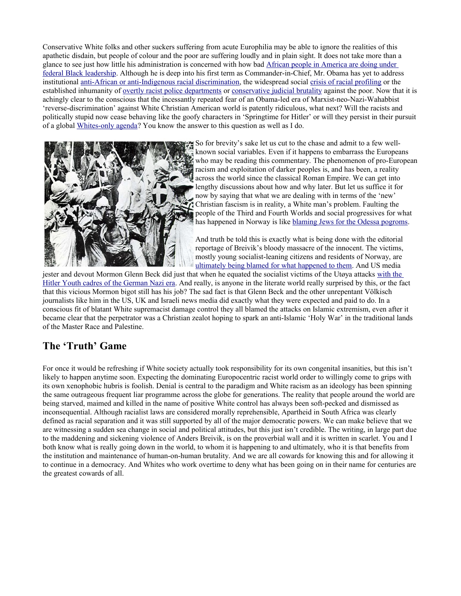Conservative White folks and other suckers suffering from acute Europhilia may be able to ignore the realities of this apathetic disdain, but people of colour and the poor are suffering loudly and in plain sight. It does not take more than a glance to see just how little his administration is concerned with how bad [African people in America are doing under](http://www.huffingtonpost.com/2011/04/01/black-unemployment-rises-overall-drops_n_843891.html) [federal Black leadership.](http://www.huffingtonpost.com/2011/04/01/black-unemployment-rises-overall-drops_n_843891.html) Although he is deep into his first term as Commander-in-Chief, Mr. Obama has yet to address institutional [anti-African or anti-Indigenous racial discrimination,](http://boycewatkins.wordpress.com/2011/07/26/new-study-racial-wealth-gap-worst-in-25-years/) the widespread social [crisis of racial profiling](http://www.nyclu.org/issues/racial-justice/stop-and-frisk-practices) or the established inhumanity of <u>overtly racist police departments</u> or [conservative judicial brutality](http://blogcritics.org/culture/article/one-in-nine-behind-a-racially/) against the poor. Now that it is achingly clear to the conscious that the incessantly repeated fear of an Obama-led era of Marxist-neo-Nazi-Wahabbist 'reverse-discrimination' against White Christian American world is patently ridiculous, what next? Will the racists and politically stupid now cease behaving like the goofy characters in 'Springtime for Hitler' or will they persist in their pursuit of a global [Whites-only agenda?](http://en.wikipedia.org/wiki/Northwest_Territorial_Imperative) You know the answer to this question as well as I do.



So for brevity's sake let us cut to the chase and admit to a few wellknown social variables. Even if it happens to embarrass the Europeans who may be reading this commentary. The phenomenon of pro-European racism and exploitation of darker peoples is, and has been, a reality across the world since the classical Roman Empire. We can get into lengthy discussions about how and why later. But let us suffice it for now by saying that what we are dealing with in terms of the 'new' Christian fascism is in reality, a White man's problem. Faulting the people of the Third and Fourth Worlds and social progressives for what has happened in Norway is like [blaming Jews for the Odessa pogroms.](http://en.wikipedia.org/wiki/Anti-Jewish_pogroms_in_the_Russian_Empire)

And truth be told this is exactly what is being done with the editorial reportage of Breivik's bloody massacre of the innocent. The victims, mostly young socialist-leaning citizens and residents of Norway, are [ultimately being blamed for what happened to them.](http://www.irishcentral.com/news/Glenn-Beck-compares-teen-victims-of-Anders-Behring-Breiviks-attack-to-Hitler-Youth--VIDEO-126242923.html) And US media

jester and devout Mormon Glenn Beck did just that when he equated the socialist victims of the Utøya attacks [with the](http://m.southcoasttoday.com/apps/pbcs.dll/article?AID=/20110730/NEWS/107300340/-1/WAP&template=wapart&m_section=) [Hitler Youth cadres of the German Nazi era.](http://m.southcoasttoday.com/apps/pbcs.dll/article?AID=/20110730/NEWS/107300340/-1/WAP&template=wapart&m_section=) And really, is anyone in the literate world really surprised by this, or the fact that this vicious Mormon bigot still has his job? The sad fact is that Glenn Beck and the other unrepentant Völkisch journalists like him in the US, UK and Israeli news media did exactly what they were expected and paid to do. In a conscious fit of blatant White supremacist damage control they all blamed the attacks on Islamic extremism, even after it became clear that the perpetrator was a Christian zealot hoping to spark an anti-Islamic 'Holy War' in the traditional lands of the Master Race and Palestine.

## **The 'Truth' Game**

For once it would be refreshing if White society actually took responsibility for its own congenital insanities, but this isn't likely to happen anytime soon. Expecting the dominating Europocentric racist world order to willingly come to grips with its own xenophobic hubris is foolish. Denial is central to the paradigm and White racism as an ideology has been spinning the same outrageous frequent liar programme across the globe for generations. The reality that people around the world are being starved, maimed and killed in the name of positive White control has always been soft-pecked and dismissed as inconsequential. Although racialist laws are considered morally reprehensible, Apartheid in South Africa was clearly defined as racial separation and it was still supported by all of the major democratic powers. We can make believe that we are witnessing a sudden sea change in social and political attitudes, but this just isn't credible. The writing, in large part due to the maddening and sickening violence of Anders Breivik, is on the proverbial wall and it is written in scarlet. You and I both know what is really going down in the world, to whom it is happening to and ultimately, who it is that benefits from the institution and maintenance of human-on-human brutality. And we are all cowards for knowing this and for allowing it to continue in a democracy. And Whites who work overtime to deny what has been going on in their name for centuries are the greatest cowards of all.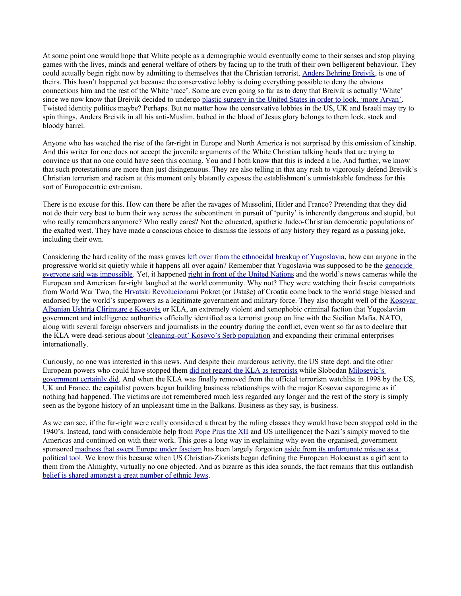At some point one would hope that White people as a demographic would eventually come to their senses and stop playing games with the lives, minds and general welfare of others by facing up to the truth of their own belligerent behaviour. They could actually begin right now by admitting to themselves that the Christian terrorist, [Anders Behring Breivik,](http://motherjones.com/politics/2011/07/anders-behring-breiviks-online-comments) is one of theirs. This hasn't happened yet because the conservative lobby is doing everything possible to deny the obvious connections him and the rest of the White 'race'. Some are even going so far as to deny that Breivik is actually 'White' since we now know that Breivik decided to undergo [plastic surgery in the United States in order to look, 'more Aryan'.](http://www.iol.co.za/thestar/plastic-surgery-said-to-be-reason-for-breivik-s-aryan-perfection-1.1109200) Twisted identity politics maybe? Perhaps. But no matter how the conservative lobbies in the US, UK and Israeli may try to spin things, Anders Breivik in all his anti-Muslim, bathed in the blood of Jesus glory belongs to them lock, stock and bloody barrel.

Anyone who has watched the rise of the far-right in Europe and North America is not surprised by this omission of kinship. And this writer for one does not accept the juvenile arguments of the White Christian talking heads that are trying to convince us that no one could have seen this coming. You and I both know that this is indeed a lie. And further, we know that such protestations are more than just disingenuous. They are also telling in that any rush to vigorously defend Breivik's Christian terrorism and racism at this moment only blatantly exposes the establishment's unmistakable fondness for this sort of Europocentric extremism.

There is no excuse for this. How can there be after the ravages of Mussolini, Hitler and Franco? Pretending that they did not do their very best to burn their way across the subcontinent in pursuit of 'purity' is inherently dangerous and stupid, but who really remembers anymore? Who really cares? Not the educated, apathetic Judeo-Christian democratic populations of the exalted west. They have made a conscious choice to dismiss the lessons of any history they regard as a passing joke, including their own.

Considering the hard reality of the mass graves [left over from the ethnocidal breakup of Yugoslavia,](http://articles.baltimoresun.com/2011-06-06/news/bs-ed-mladic-20110606_1_srebrenica-victims-mass-graves-forensic-science) how can anyone in the progressive world sit quietly while it happens all over again? Remember that Yugoslavia was supposed to be the [genocide](http://www.thetrumpet.com/?q=639.0.44.0) [everyone said was impossible.](http://www.thetrumpet.com/?q=639.0.44.0) Yet, it happened [right in front of the United Nations](http://www.rmbowman.com/isss/kosovo.htm) and the world's news cameras while the European and American far-right laughed at the world community. Why not? They were watching their fascist compatriots from World War Two, the [Hrvatski Revolucionarni Pokret](http://www.tandfonline.com/doi/abs/10.1080/13698240308402534) (or Ustaše) of Croatia come back to the world stage blessed and endorsed by the world's superpowers as a legitimate government and military force. They also thought well of the [Kosovar](http://en.wikipedia.org/wiki/Kosovo_Liberation_Army) [Albanian Ushtria Çlirimtare e Kosovës](http://en.wikipedia.org/wiki/Kosovo_Liberation_Army) or KLA, an extremely violent and xenophobic criminal faction that Yugoslavian government and intelligence authorities officially identified as a terrorist group on line with the Sicilian Mafia. NATO, along with several foreign observers and journalists in the country during the conflict, even went so far as to declare that the KLA were dead-serious about ['cleaning-out' Kosovo's Serb population](http://books.google.com/books?id=skdoYDs1e8AC&pg=PA178&lpg=PA178&dq=cleanse&source=bl&ots=7hg2DoThWQ&sig=CEiokh-juqblP3h8wm_5KA_cMRk&hl=en&ei=LYZRS8abKsXH4gaMkIGYCQ&sa=X&oi=book_result&ct=result&resnum=2&ved=0CAoQ6AEwAQ#v=onepage&q=cleanse&f=false) and expanding their criminal enterprises internationally.

Curiously, no one was interested in this news. And despite their murderous activity, the US state dept. and the other European powers who could have stopped them [did not regard the KLA as terrorists](http://web.archive.org/web/20000301034049/http://www.janes.com/defence/features/kosovo/kla.html) while Slobodan [Milosevic's](http://www.globalresearch.ca/articles/BIS111A.html) [government certainly did.](http://www.globalresearch.ca/articles/BIS111A.html) And when the KLA was finally removed from the official terrorism watchlist in 1998 by the US, UK and France, the capitalist powers began building business relationships with the major Kosovar caporegime as if nothing had happened. The victims are not remembered much less regarded any longer and the rest of the story is simply seen as the bygone history of an unpleasant time in the Balkans. Business as they say, is business.

As we can see, if the far-right were really considered a threat by the ruling classes they would have been stopped cold in the 1940's. Instead, (and with considerable help from [Pope Pius the XII](http://en.wikipedia.org/wiki/Hitler) and US intelligence) the Nazi's simply moved to the Americas and continued on with their work. This goes a long way in explaining why even the organised, government sponsored [madness that swept Europe under fascism](http://www.holocaustchronicle.org/) has been largely forgotten [aside from its unfortunate misuse as a](http://www.normanfinkelstein.com/category/the-holocaust-industry/) [political tool.](http://www.normanfinkelstein.com/category/the-holocaust-industry/) We know this because when US Christian-Zionists began defining the European Holocaust as a gift sent to them from the Almighty, virtually no one objected. And as bizarre as this idea sounds, the fact remains that this outlandish [belief is shared amongst a great number of ethnic Jews.](http://bigjournalism.com/klarrey/2010/11/19/zionist-organization-of-america-defends-beck-condemns-soros/)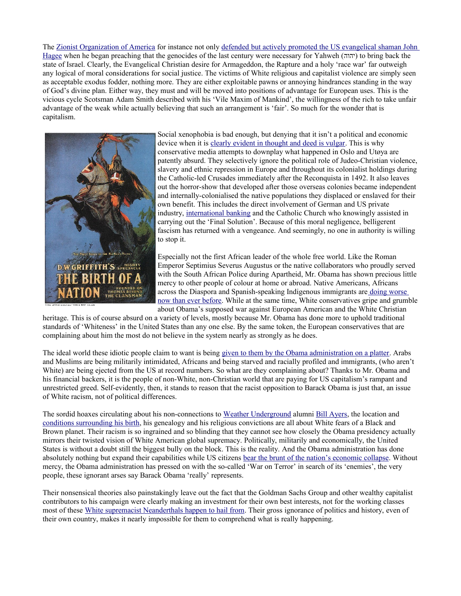The [Zionist Organization of America](http://frontpagemag.com/2010/11/20/zionist-organization-of-america-defends-beck-condemns-soros/) for instance not only [defended but actively promoted the US evangelical shaman John](http://www.zoa.org/sitedocuments/pressrelease_view.asp?pressreleaseID=637) [Hagee](http://www.zoa.org/sitedocuments/pressrelease_view.asp?pressreleaseID=637) when he began preaching that the genocides of the last century were necessary for Yahweh (יהוה (to bring back the state of Israel. Clearly, the Evangelical Christian desire for Armageddon, the Rapture and a holy 'race war' far outweigh any logical of moral considerations for social justice. The victims of White religious and capitalist violence are simply seen as acceptable exodus fodder, nothing more. They are either exploitable pawns or annoying hindrances standing in the way of God's divine plan. Either way, they must and will be moved into positions of advantage for European uses. This is the vicious cycle Scotsman Adam Smith described with his 'Vile Maxim of Mankind', the willingness of the rich to take unfair advantage of the weak while actually believing that such an arrangement is 'fair'. So much for the wonder that is capitalism.



Social xenophobia is bad enough, but denying that it isn't a political and economic device when it is [clearly evident in thought and deed is vulgar.](http://en.wikipedia.org/wiki/Greensboro_massacre) This is why conservative media attempts to downplay what happened in Oslo and Utøya are patently absurd. They selectively ignore the political role of Judeo-Christian violence, slavery and ethnic repression in Europe and throughout its colonialist holdings during the Catholic-led Crusades immediately after the Reconquista in 1492. It also leaves out the horror-show that developed after those overseas colonies became independent and internally-colonialised the native populations they displaced or enslaved for their own benefit. This includes the direct involvement of German and US private industry, [international banking](http://topdocumentaryfilms.com/banking-with-hitler/) and the Catholic Church who knowingly assisted in carrying out the 'Final Solution'. Because of this moral negligence, belligerent fascism has returned with a vengeance. And seemingly, no one in authority is willing to stop it.

Especially not the first African leader of the whole free world. Like the Roman Emperor Septimius Severus Augustus or the native collaborators who proudly served with the South African Police during Apartheid, Mr. Obama has shown precious little mercy to other people of colour at home or abroad. Native Americans, Africans across the Diaspora and Spanish-speaking Indigenous immigrants ar[e doing worse](http://www.nytimes.com/2009/12/01/us/01race.html) [now than ever before.](http://www.nytimes.com/2009/12/01/us/01race.html) While at the same time, White conservatives gripe and grumble about Obama's supposed war against European American and the White Christian

heritage. This is of course absurd on a variety of levels, mostly because Mr. Obama has done more to uphold traditional standards of 'Whiteness' in the United States than any one else. By the same token, the European conservatives that are complaining about him the most do not believe in the system nearly as strongly as he does.

The ideal world these idiotic people claim to want is being [given to them by the Obama administration on a platter.](http://www.sify.com/finance/obama-signs-debt-celing-bill-averts-economic-crisis-news-economy-lidbadfhbfh.html) Arabs and Muslims are being militarily intimidated, Africans and being starved and racially profiled and immigrants, (who aren't White) are being ejected from the US at record numbers. So what are they complaining about? Thanks to Mr. Obama and his financial backers, it is the people of non-White, non-Christian world that are paying for US capitalism's rampant and unrestricted greed. Self-evidently, then, it stands to reason that the racist opposition to Barack Obama is just that, an issue of White racism, not of political differences.

The sordid hoaxes circulating about his non-connections to [Weather Underground](http://en.wikipedia.org/wiki/Weather_Underground) alumni [Bill Ayers,](http://en.wikipedia.org/wiki/Bill_Ayers) the location and [conditions surrounding his birth,](http://en.wikipedia.org/wiki/Birther) his genealogy and his religious convictions are all about White fears of a Black and Brown planet. Their racism is so ingrained and so blinding that they cannot see how closely the Obama presidency actually mirrors their twisted vision of White American global supremacy. Politically, militarily and economically, the United States is without a doubt still the biggest bully on the block. This is the reality. And the Obama administration has done absolutely nothing but expand their capabilities while US citizens [bear the brunt of the nation's economic collapse.](http://www.bbc.co.uk/news/world-us-canada-14413646) Without mercy, the Obama administration has pressed on with the so-called 'War on Terror' in search of its 'enemies', the very people, these ignorant arses say Barack Obama 'really' represents.

Their nonsensical theories also painstakingly leave out the fact that the Goldman Sachs Group and other wealthy capitalist contributors to his campaign were clearly making an investment for their own best interests, not for the working classes most of these [White supremacist Neanderthals happen to hail from.](http://news.infoshop.org/article.php?story=2010tea-parties-class) Their gross ignorance of politics and history, even of their own country, makes it nearly impossible for them to comprehend what is really happening.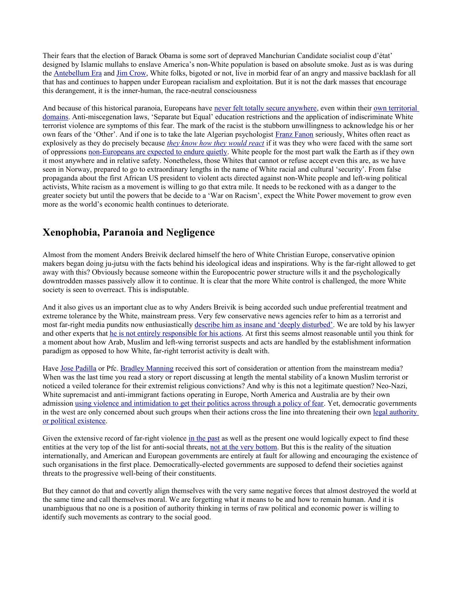Their fears that the election of Barack Obama is some sort of depraved Manchurian Candidate socialist coup d'état' designed by Islamic mullahs to enslave America's non-White population is based on absolute smoke. Just as is was during the [Antebellum Era](http://en.wikipedia.org/wiki/African_slave_trade) and [Jim Crow,](http://en.wikipedia.org/wiki/Jim_Crow_laws) White folks, bigoted or not, live in morbid fear of an angry and massive backlash for all that has and continues to happen under European racialism and exploitation. But it is not the dark masses that encourage this derangement, it is the inner-human, the race-neutral consciousness

And because of this historical paranoia, Europeans have [never felt totally secure anywhere,](http://www.yesmagazine.org/issues/america-the-remix/what-white-people-fear) even within their [own territorial](http://funknbeans.com/2011/04/the-great-white-fear-immigrants-the-real-face-of-america/) [domains.](http://funknbeans.com/2011/04/the-great-white-fear-immigrants-the-real-face-of-america/) Anti-miscegenation laws, 'Separate but Equal' education restrictions and the application of indiscriminate White terrorist violence are symptoms of this fear. The mark of the racist is the stubborn unwillingness to acknowledge his or her own fears of the 'Other'. And if one is to take the late Algerian psychologist [Franz Fanon](http://en.wikipedia.org/wiki/Frantz_Fanon) seriously, Whites often react as explosively as they do precisely because *[they know how they would react](http://www.alternet.org/story/36892/)* if it was they who were faced with the same sort of oppressions [non-Europeans are expected to endure quietly.](http://www.marxists.org/subject/africa/fanon/conclusion.htm) White people for the most part walk the Earth as if they own it most anywhere and in relative safety. Nonetheless, those Whites that cannot or refuse accept even this are, as we have seen in Norway, prepared to go to extraordinary lengths in the name of White racial and cultural 'security'. From false propaganda about the first African US president to violent acts directed against non-White people and left-wing political activists, White racism as a movement is willing to go that extra mile. It needs to be reckoned with as a danger to the greater society but until the powers that be decide to a 'War on Racism', expect the White Power movement to grow even more as the world's economic health continues to deteriorate.

#### **Xenophobia, Paranoia and Negligence**

Almost from the moment Anders Breivik declared himself the hero of White Christian Europe, conservative opinion makers began doing ju-jutsu with the facts behind his ideological ideas and inspirations. Why is the far-right allowed to get away with this? Obviously because someone within the Europocentric power structure wills it and the psychologically downtrodden masses passively allow it to continue. It is clear that the more White control is challenged, the more White society is seen to overreact. This is indisputable.

And it also gives us an important clue as to why Anders Breivik is being accorded such undue preferential treatment and extreme tolerance by the White, mainstream press. Very few conservative news agencies refer to him as a terrorist and most far-right media pundits now enthusiastically [describe him as insane and 'deeply disturbed'.](http://www.bbc.co.uk/news/world-europe-14294251) We are told by his lawyer and other experts that [he is not entirely responsible for his actions.](http://news.scotsman.com/news/Breivik39s-insane-and-thinks-he39s.6808219.jp) At first this seems almost reasonable until you think for a moment about how Arab, Muslim and left-wing terrorist suspects and acts are handled by the establishment information paradigm as opposed to how White, far-right terrorist activity is dealt with.

Have [Jose Padilla](http://www.aclu.org/blog/national-security/if-law-does-not-protect-jose-padilla-it-protects-no-one) or Pfc. [Bradley Manning](http://bradleymanning.org/) received this sort of consideration or attention from the mainstream media? When was the last time you read a story or report discussing at length the mental stability of a known Muslim terrorist or noticed a veiled tolerance for their extremist religious convictions? And why is this not a legitimate question? Neo-Nazi, White supremacist and anti-immigrant factions operating in Europe, North America and Australia are by their own admission [using violence and intimidation to get their politics across through a policy of fear.](http://www.publiceye.org/eyes/whitsup.html) Yet, democratic governments in the west are only concerned about such groups when their actions cross the line into threatening their own [legal authority](http://www.publiceye.org/eyes/whitsup.html) [or political existence.](http://www.publiceye.org/eyes/whitsup.html)

Given the extensive record of far-right violence [in the past](http://en.wikipedia.org/wiki/The_Order_(group)) as well as the present one would logically expect to find these entities at the very top of the list for anti-social threats, [not at the very bottom.](http://www.blackcommentator.com/70/70_cover_white_terror_pf.html) But this is the reality of the situation internationally, and American and European governments are entirely at fault for allowing and encouraging the existence of such organisations in the first place. Democratically-elected governments are supposed to defend their societies against threats to the progressive well-being of their constituents.

But they cannot do that and covertly align themselves with the very same negative forces that almost destroyed the world at the same time and call themselves moral. We are forgetting what it means to be and how to remain human. And it is unambiguous that no one is a position of authority thinking in terms of raw political and economic power is willing to identify such movements as contrary to the social good.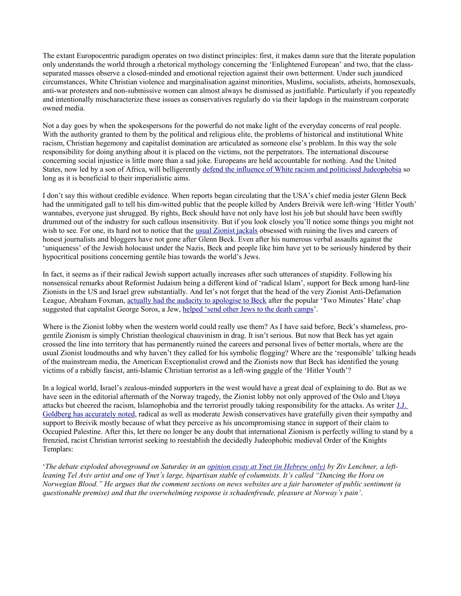The extant Europocentric paradigm operates on two distinct principles: first, it makes damn sure that the literate population only understands the world through a rhetorical mythology concerning the 'Enlightened European' and two, that the classseparated masses observe a closed-minded and emotional rejection against their own betterment. Under such jaundiced circumstances, White Christian violence and marginalisation against minorities, Muslims, socialists, atheists, homosexuals, anti-war protesters and non-submissive women can almost always be dismissed as justifiable. Particularly if you repeatedly and intentionally mischaracterize these issues as conservatives regularly do via their lapdogs in the mainstream corporate owned media.

Not a day goes by when the spokespersons for the powerful do not make light of the everyday concerns of real people. With the authority granted to them by the political and religious elite, the problems of historical and institutional White racism, Christian hegemony and capitalist domination are articulated as someone else's problem. In this way the sole responsibility for doing anything about it is placed on the victims, not the perpetrators. The international discourse concerning social injustice is little more than a sad joke. Europeans are held accountable for nothing. And the United States, now led by a son of Africa, will belligerently [defend the influence of White racism and politicised Judeophobia](http://www.heraldsun.com.au/news/breaking-news/us-to-boycott-un-world-racism-conference/story-e6frf7jx-1226067907266) so long as it is beneficial to their imperialistic aims.

I don't say this without credible evidence. When reports began circulating that the USA's chief media jester Glenn Beck had the unmitigated gall to tell his dim-witted public that the people killed by Anders Breivik were left-wing 'Hitler Youth' wannabes, everyone just shrugged. By rights, Beck should have not only have lost his job but should have been swiftly drummed out of the industry for such callous insensitivity. But if you look closely you'll notice some things you might not wish to see. For one, its hard not to notice that the [usual Zionist jackals](http://www.nogw.com/download/_07_hasbara.pdf) obsessed with ruining the lives and careers of honest journalists and bloggers have not gone after Glenn Beck. Even after his numerous verbal assaults against the 'uniqueness' of the Jewish holocaust under the Nazis, Beck and people like him have yet to be seriously hindered by their hypocritical positions concerning gentile bias towards the world's Jews.

In fact, it seems as if their radical Jewish support actually increases after such utterances of stupidity. Following his nonsensical remarks about Reformist Judaism being a different kind of 'radical Islam', support for Beck among hard-line Zionists in the US and Israel grew substantially. And let's not forget that the head of the very Zionist Anti-Defamation League, Abraham Foxman, [actually had the audacity to apologise to Beck](http://www.mediaite.com/online/abe-foxman-sent-glenn-beck-a-letter-apologizing-for-calling-him-an-anti-semite/) after the popular 'Two Minutes' Hate' chap suggested that capitalist George Soros, a Jew, [helped 'send other Jews to the death camps'](http://www.mediaite.com/online/glenn-beck-accuses-george-soros-of-helping-send-the-jews-to-the-death-camps/).

Where is the Zionist lobby when the western world could really use them? As I have said before, Beck's shameless, progentile Zionism is simply Christian theological chauvinism in drag. It isn't serious. But now that Beck has yet again crossed the line into territory that has permanently ruined the careers and personal lives of better mortals, where are the usual Zionist loudmouths and why haven't they called for his symbolic flogging? Where are the 'responsible' talking heads of the mainstream media, the American Exceptionalist crowd and the Zionists now that Beck has identified the young victims of a rabidly fascist, anti-Islamic Christian terrorist as a left-wing gaggle of the 'Hitler Youth'?

In a logical world, Israel's zealous-minded supporters in the west would have a great deal of explaining to do. But as we have seen in the editorial aftermath of the Norway tragedy, the Zionist lobby not only approved of the Oslo and Utøya attacks but cheered the racism, Islamophobia and the terrorist proudly taking responsibility for the attacks. As writer [J.J.](http://m.forward.com/blogs/forward-thinking/140297) [Goldberg has accurately noted,](http://m.forward.com/blogs/forward-thinking/140297) radical as well as moderate Jewish conservatives have gratefully given their sympathy and support to Breivik mostly because of what they perceive as his uncompromising stance in support of their claim to Occupied Palestine. After this, let there no longer be any doubt that international Zionism is perfectly willing to stand by a frenzied, racist Christian terrorist seeking to reestablish the decidedly Judeophobic medieval Order of the Knights Templars:

'*The debate exploded aboveground on Saturday in an [opinion essay at Ynet \(in Hebrew only\)](http://www.ynet.co.il/articles/0,7340,L-4098981,00.html) by Ziv Lenchner, a leftleaning Tel Aviv artist and one of Ynet's large, bipartisan stable of columnists. It's called "Dancing the Hora on Norwegian Blood." He argues that the comment sections on news websites are a fair barometer of public sentiment (a questionable premise) and that the overwhelming response is schadenfreude, pleasure at Norway's pain'*.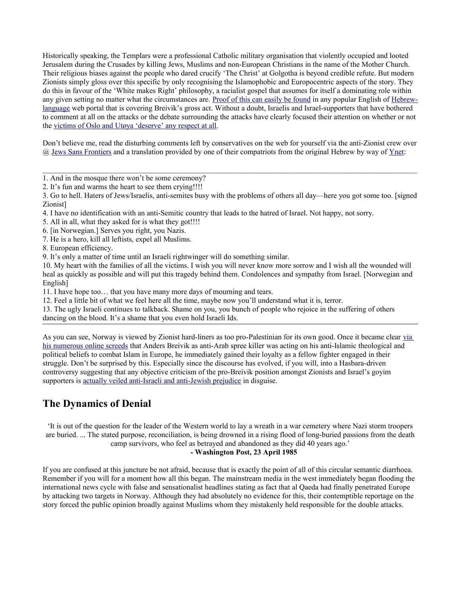Historically speaking, the Templars were a professional Catholic military organisation that violently occupied and looted Jerusalem during the Crusades by killing Jews, Muslims and non-European Christians in the name of the Mother Church. Their religious biases against the people who dared crucify 'The Christ' at Golgotha is beyond credible refute. But modern Zionists simply gloss over this specific by only recognising the Islamophobic and Europocentric aspects of the story. They do this in favour of the 'White makes Right' philosophy, a racialist gospel that assumes for itself a dominating role within any given setting no matter what the circumstances are. [Proof of this can easily be found](http://www.jpost.com/Opinion/Editorials/Article.aspx?id=230788) in any popular English of [Hebrew](http://www.ynet.co.il/articles/0,7340,L-4098981,00.html)[language](http://www.ynet.co.il/articles/0,7340,L-4098981,00.html) web portal that is covering Breivik's gross act. Without a doubt, Israelis and Israel-supporters that have bothered to comment at all on the attacks or the debate surrounding the attacks have clearly focused their attention on whether or not the [victims of Oslo and Utøya 'deserve' any respect at all.](http://jewssansfrontieres.blogspot.com/2011/07/israeli-netizens-share-their-feelings.html)

Don't believe me, read the disturbing comments left by conservatives on the web for yourself via the anti-Zionist crew over @ [Jews Sans Frontiers](http://jewssansfrontieres.blogspot.com/2011/07/israeli-netizens-share-their-feelings.html) and a translation provided by one of their compatriots from the original Hebrew by way of [Ynet:](http://www.ynet.co.il/)

 $\mathcal{L}_\mathcal{L} = \{ \mathcal{L}_\mathcal{L} = \{ \mathcal{L}_\mathcal{L} = \{ \mathcal{L}_\mathcal{L} = \{ \mathcal{L}_\mathcal{L} = \{ \mathcal{L}_\mathcal{L} = \{ \mathcal{L}_\mathcal{L} = \{ \mathcal{L}_\mathcal{L} = \{ \mathcal{L}_\mathcal{L} = \{ \mathcal{L}_\mathcal{L} = \{ \mathcal{L}_\mathcal{L} = \{ \mathcal{L}_\mathcal{L} = \{ \mathcal{L}_\mathcal{L} = \{ \mathcal{L}_\mathcal{L} = \{ \mathcal{L}_\mathcal{$ 

- 1. And in the mosque there won't be some ceremony?
- 2. It's fun and warms the heart to see them crying!!!!

3. Go to hell. Haters of Jews/Israelis, anti-semites busy with the problems of others all day—here you got some too. [signed Zionist]

- 4. I have no identification with an anti-Semitic country that leads to the hatred of Israel. Not happy, not sorry.
- 5. All in all, what they asked for is what they got!!!!
- 6. [in Norwegian.] Serves you right, you Nazis.
- 7. He is a hero, kill all leftists, expel all Muslims.

8. European efficiency.

9. It's only a matter of time until an Israeli rightwinger will do something similar.

10. My heart with the families of all the victims. I wish you will never know more sorrow and I wish all the wounded will heal as quickly as possible and will put this tragedy behind them. Condolences and sympathy from Israel. [Norwegian and English]

11. I have hope too… that you have many more days of mourning and tears.

12. Feel a little bit of what we feel here all the time, maybe now you'll understand what it is, terror.

13. The ugly Israeli continues to talkback. Shame on you, you bunch of people who rejoice in the suffering of others dancing on the blood. It's a shame that you even hold Israeli Ids.

As you can see, Norway is viewed by Zionist hard-liners as too pro-Palestinian for its own good. Once it became clear [via](http://motherjones.com/politics/2011/07/anders-behring-breiviks-online-comments) [his numerous online screeds](http://motherjones.com/politics/2011/07/anders-behring-breiviks-online-comments) that Anders Breivik as anti-Arab spree killer was acting on his anti-Islamic theological and political beliefs to combat Islam in Europe, he immediately gained their loyalty as a fellow fighter engaged in their struggle. Don't be surprised by this. Especially since the discourse has evolved, if you will, into a Hasbara-driven controversy suggesting that any objective criticism of the pro-Breivik position amongst Zionists and Israel's goyim supporters is [actually veiled anti-Israeli and anti-Jewish prejudice](http://occupiedpalestine.wordpress.com/2011/07/26/norway-shooter-anders-breivik%E2%80%99s-zionism-in-line-with-pro-israel-european-right/) in disguise.

### **The Dynamics of Denial**

'It is out of the question for the leader of the Western world to lay a wreath in a war cemetery where Nazi storm troopers are buried. ... The stated purpose, reconciliation, is being drowned in a rising flood of long-buried passions from the death camp survivors, who feel as betrayed and abandoned as they did 40 years ago.'

#### **- Washington Post, 23 April 1985**

If you are confused at this juncture be not afraid, because that is exactly the point of all of this circular semantic diarrhoea. Remember if you will for a moment how all this began. The mainstream media in the west immediately began flooding the international news cycle with false and sensationalist headlines stating as fact that al Qaeda had finally penetrated Europe by attacking two targets in Norway. Although they had absolutely no evidence for this, their contemptible reportage on the story forced the public opinion broadly against Muslims whom they mistakenly held responsible for the double attacks.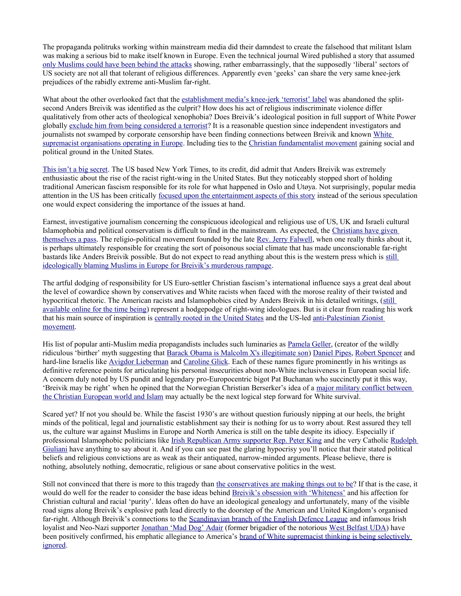The propaganda politruks working within mainstream media did their damndest to create the falsehood that militant Islam was making a serious bid to make itself known in Europe. Even the technical journal Wired published a story that assumed [only Muslims could have been behind the attacks](http://www.wired.com/dangerroom/tag/anders-breivik/) showing, rather embarrassingly, that the supposedly 'liberal' sectors of US society are not all that tolerant of religious differences. Apparently even 'geeks' can share the very same knee-jerk prejudices of the rabidly extreme anti-Muslim far-right.

What about the other overlooked fact that the [establishment media's knee-jerk 'terrorist' label](http://musliminsuffer.wordpress.com/2011/07/25/right-wing-pundits-jumped-to-blame-muslims-and-%E2%80%98jihadists%E2%80%99-for-norway-attacks/) was abandoned the splitsecond Anders Breivik was identified as the culprit? How does his act of religious indiscriminate violence differ qualitatively from other acts of theological xenophobia? Does Breivik's ideological position in full support of White Power globally [exclude him from being considered a terrorist?](http://thinkprogress.org/security/2011/07/23/277310/wapos-jen-rubin-wsj-right-wing-pundits-jumped-to-blame-muslims-and-jihadists-for-norway-attacks/) It is a reasonable question since independent investigators and journalists not swamped by corporate censorship have been finding connections between Breivik and known [White](http://en.wikipedia.org/wiki/List_of_white_nationalist_organizations) [supremacist organisations operating in Europe.](http://en.wikipedia.org/wiki/List_of_white_nationalist_organizations) Including ties to the [Christian fundamentalist movement](http://www.alternet.org/rights/134000/christian_fundamentalist_group_preaches_patriarchy_and_women) gaining social and political ground in the United States.

[This isn't a big secret.](http://www.immortaltechnique.co.uk/Thread-The-FBI-and-Anders-Breivik-read-the-same-books) The US based New York Times, to its credit, did admit that Anders Breivik was extremely enthusiastic about the rise of the racist right-wing in the United States. But they noticeably stopped short of holding traditional American fascism responsible for its role for what happened in Oslo and Utøya. Not surprisingly, popular media attention in the US has been critically [focused upon the entertainment aspects of this story](http://gawker.com/5824700/oslo-bombing-witness-would-rather-tell-you-about-his-awesome-workout) instead of the serious speculation one would expect considering the importance of the issues at hand.

Earnest, investigative journalism concerning the conspicuous ideological and religious use of US, UK and Israeli cultural Islamophobia and political conservatism is difficult to find in the mainstream. As expected, the [Christians have given](http://www.newscorpse.com/ncWP/?p=4997) [themselves a pass.](http://www.newscorpse.com/ncWP/?p=4997) The religio-political movement founded by the late [Rev. Jerry Falwell,](http://en.wikipedia.org/wiki/Moral_Majority) when one really thinks about it, is perhaps ultimately responsible for creating the sort of poisonous social climate that has made unconscionable far-right bastards like Anders Breivik possible. But do not expect to read anything about this is the western press which is [still](http://www.jpost.com/Opinion/Editorials/Article.aspx?id=230788) [ideologically blaming Muslims in Europe for Breivik's murderous rampage.](http://www.jpost.com/Opinion/Editorials/Article.aspx?id=230788)

The artful dodging of responsibility for US Euro-settler Christian fascism's international influence says a great deal about the level of cowardice shown by conservatives and White racists when faced with the morose reality of their twisted and hypocritical rhetoric. The American racists and Islamophobics cited by Anders Breivik in his detailed writings, [\(still](http://motherjones.com/politics/2011/07/anders-behring-breiviks-online-comments) [available online for the time being\)](http://motherjones.com/politics/2011/07/anders-behring-breiviks-online-comments) represent a hodgepodge of right-wing ideologues. But is it clear from reading his work that his main source of inspiration is [centrally rooted in the United States](http://www.democraticunderground.com/discuss/duboard.php?az=view_all&address=439x1555107#1555150) and the US-led [anti-Palestinian Zionist](http://ww4report.com/node/10164) [movement.](http://ww4report.com/node/10164)

His list of popular anti-Muslim media propagandists includes such luminaries as [Pamela Geller,](http://jezebel.com/364296/meet-bikini-blogger-pamela-geller-she-is-like-ann-coulter-meets-the-real-housewives-she-is-amazing) (creator of the wildly ridiculous 'birther' myth suggesting that [Barack Obama is Malcolm X's illegitimate son\)](http://scienceblogs.com/dispatches/2010/10/source_of_malcolm_x_birtherism.php) [Daniel Pipes,](http://www.democraticunderground.com/discuss/duboard.php?az=view_all&address=439x1555107) [Robert Spencer](http://www.jihadwatch.org/about-robert-spencer.html) and hard-line Israelis like [Avigdor Lieberman](http://www.richardsilverstein.com/tikun_olam/2011/07/23/anders-breivik-norwegian-terror-suspect-admirer-of-israel-avigdor-lieberman/) and [Caroline Glick.](http://www.jpost.com/Opinion/Columnists/Article.aspx?id=231490) Each of these names figure prominently in his writings as definitive reference points for articulating his personal insecurities about non-White inclusiveness in European social life. A concern duly noted by US pundit and legendary pro-Europocentric bigot Pat Buchanan who succinctly put it this way, 'Breivik may be right' when he opined that the Norwegian Christian Berserker's idea of a [major military conflict between](http://mediamatters.org/blog/201107260015) [the Christian European world and Islam](http://mediamatters.org/blog/201107260015) may actually be the next logical step forward for White survival.

Scared yet? If not you should be. While the fascist 1930's are without question furiously nipping at our heels, the bright minds of the political, legal and journalistic establishment say their is nothing for us to worry about. Rest assured they tell us, the culture war against Muslims in Europe and North America is still on the table despite its idiocy. Especially if professional Islamophobic politicians like [Irish Republican Army supporter Rep. Peter King](http://en.wikipedia.org/wiki/Peter_T._King#Support_for_the_IRA) and the very Catholic [Rudolph](http://www.cbsnews.com/8301-503544_162-20028081-503544.html) [Giuliani](http://www.cbsnews.com/8301-503544_162-20028081-503544.html) have anything to say about it. And if you can see past the glaring hypocrisy you'll notice that their stated political beliefs and religious convictions are as weak as their antiquated, narrow-minded arguments. Please believe, there is nothing, absolutely nothing, democratic, religious or sane about conservative politics in the west.

Still not convinced that there is more to this tragedy than [the conservatives are making things out to be?](http://www.ipsnews.net/news.asp?idnews=56618) If that is the case, it would do well for the reader to consider the base ideas behind [Breivik's obsession with 'Whiteness'](http://english.ruvr.ru/2011/08/01/54009457.html) and his affection for Christian cultural and racial 'purity'. Ideas often do have an ideological genealogy and unfortunately, many of the visible road signs along Breivik's explosive path lead directly to the doorstep of the American and United Kingdom's organised far-right. Although Breivik's connections to the [Scandinavian branch of the English Defence League](http://www.dailymail.co.uk/news/article-2018179/Online-postings-reveal-gunmans-link-English-Defence-League.html?ITO=1490) and infamous Irish loyalist and Neo-Nazi supporter [Jonathan 'Mad Dog' Adair](http://www.youtube.com/watch?v=Xc8tiT0O8ws&feature=topics) (former brigadier of the notorious [West Belfast UDA\)](http://www.dailymail.co.uk/news/article-132523/Terror-chief-Mad-Dog-orders-thugs-shoot-son.html) have been positively confirmed, his emphatic allegiance to America's [brand of White supremacist thinking is being selectively](http://www.wnd.com/index.php?fa=PAGE.view&pageId=326069#ixzz1TDOTaroZ) [ignored.](http://www.wnd.com/index.php?fa=PAGE.view&pageId=326069#ixzz1TDOTaroZ)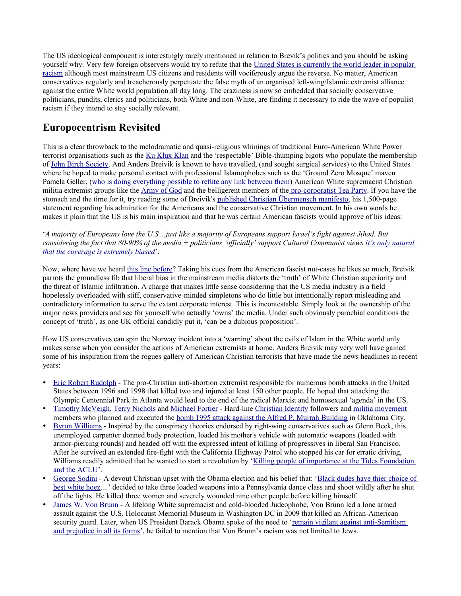The US ideological component is interestingly rarely mentioned in relation to Brevik's politics and you should be asking yourself why. Very few foreign observers would try to refute that the [United States is currently the world leader in popular](http://www.mediaite.com/online/republican-congressman-apologizes-for-calling-president-obama-a-tar-baby/) [racism](http://www.mediaite.com/online/republican-congressman-apologizes-for-calling-president-obama-a-tar-baby/) although most mainstream US citizens and residents will vociferously argue the reverse. No matter, American conservatives regularly and treacherously perpetuate the false myth of an organised left-wing/Islamic extremist alliance against the entire White world population all day long. The craziness is now so embedded that socially conservative politicians, pundits, clerics and politicians, both White and non-White, are finding it necessary to ride the wave of populist racism if they intend to stay socially relevant.

### **Europocentrism Revisited**

This is a clear throwback to the melodramatic and quasi-religious whinings of traditional Euro-American White Power terrorist organisations such as the [Ku Klux Klan](http://en.wikipedia.org/wiki/Ku_Klux_Klan) and the 'respectable' Bible-thumping bigots who populate the membership of [John Birch Society.](http://en.wikipedia.org/wiki/John_Birch_Society) And Anders Breivik is known to have travelled, (and sought surgical services) to the United States where he hoped to make personal contact with professional Islamophobes such as the 'Ground Zero Mosque' maven Pamela Geller, [\(who is doing everything possible to refute any link between them\)](http://www.christianpost.com/news/blogger-pamela-geller-refutes-link-to-anders-behring-breivik-52883/) American White supremacist Christian militia extremist groups like the [Army of God](http://en.wikipedia.org/wiki/Army_of_God_(USA)) and the belligerent members of th[e pro-corporatist Tea Party.](http://www.dailykos.com/story/2011/07/25/998406/-The-Norwegian-Tea-Party-Terrorist) If you have the stomach and the time for it, try reading some of Breivik's [published Christian Übermensch manifesto,](http://www.washingtontimes.com/blog/robbins-report/2011/jul/23/oslo-terrorist-his-own-words/) his 1,500-page statement regarding his admiration for the Americans and the conservative Christian movement. In his own words he makes it plain that the US is his main inspiration and that he was certain American fascists would approve of his ideas:

'*A majority of Europeans love the U.S....just like a majority of Europeans support Israel's fight against Jihad. But considering the fact that 80-90% of the media + politicians 'officially' support Cultural Communist views [it's only natural](http://www.washingtontimes.com/blog/robbins-report/2011/jul/23/oslo-terrorist-his-own-words/) [that the coverage is extremely biased](http://www.washingtontimes.com/blog/robbins-report/2011/jul/23/oslo-terrorist-his-own-words/)*'.

Now, where have we heard [this line before?](http://www.fair.org/index.php?page=2447) Taking his cues from the American fascist nut-cases he likes so much, Breivik parrots the groundless fib that liberal bias in the mainstream media distorts the 'truth' of White Christian superiority and the threat of Islamic infiltration. A charge that makes little sense considering that the US media industry is a field hopelessly overloaded with stiff, conservative-minded simpletons who do little but intentionally report misleading and contradictory information to serve the extant corporate interest. This is incontestable. Simply look at the ownership of the major news providers and see for yourself who actually 'owns' the media. Under such obviously parochial conditions the concept of 'truth', as one UK official candidly put it, 'can be a dubious proposition'.

How US conservatives can spin the Norway incident into a 'warning' about the evils of Islam in the White world only makes sense when you consider the actions of American extremists at home. Anders Breivik may very well have gained some of his inspiration from the rogues gallery of American Christian terrorists that have made the news headlines in recent years:

- [Eric Robert Rudolph](http://en.wikipedia.org/wiki/Eric_Robert_Rudolph)  The pro-Christian anti-abortion extremist responsible for numerous bomb attacks in the United States between 1996 and 1998 that killed two and injured at least 150 other people. He hoped that attacking the Olympic Centennial Park in Atlanta would lead to the end of the radical Marxist and homosexual 'agenda' in the US.
- [Timothy McVeigh,](http://en.wikipedia.org/wiki/Timothy_McVeigh) [Terry Nichols](http://en.wikipedia.org/wiki/Terry_Nichols) and [Michael Fortier](http://en.wikipedia.org/wiki/Michael_and_Lori_Fortier)  Hard-line [Christian Identity](http://en.wikipedia.org/wiki/Christian_Identity) followers and [militia movement](http://en.wikipedia.org/wiki/Militia_movement) members who planned and executed the [bomb 1995 attack against the Alfred P. Murrah Building](http://en.wikipedia.org/wiki/Oklahoma_City_Bombing) in Oklahoma City.
- [Byron Williams](http://en.wikipedia.org/wiki/Byron_Williams_(shooter))  Inspired by the conspiracy theories endorsed by right-wing conservatives such as Glenn Beck, this unemployed carpenter donned body protection, loaded his mother's vehicle with automatic weapons (loaded with armor-piercing rounds) and headed off with the expressed intent of killing of progressives in liberal San Francisco. After he survived an extended fire-fight with the California Highway Patrol who stopped his car for erratic driving, Williams readily admitted that he wanted to start a revolution by ['Killing people of importance at the Tides Foundation](http://www.cbsnews.com/8301-504083_162-20011219-504083.html) [and the ACLU'](http://www.cbsnews.com/8301-504083_162-20011219-504083.html).
- [George Sodini](http://en.wikipedia.org/wiki/George_Sodini)  A devout Christian upset with the Obama election and his belief that: ['Black dudes have thier choice of](http://www.jackandjillpolitics.com/2009/08/george-sodini-pittsburgh-mass-murder-obama-driven-racism/) [best white hoez.](http://www.jackandjillpolitics.com/2009/08/george-sodini-pittsburgh-mass-murder-obama-driven-racism/)...' decided to take three loaded weapons into a Pennsylvania dance class and shoot wildly after he shut off the lights. He killed three women and severely wounded nine other people before killing himself.
- [James W. Von Brunn](http://en.wikipedia.org/wiki/James_Wenneker_von_Brunn)  A lifelong White supremacist and cold-blooded Judeophobe, Von Brunn led a lone armed assault against the U.S. Holocaust Memorial Museum in Washington DC in 2009 that killed an African-American security guard. Later, when US President Barack Obama spoke of the need to ['remain vigilant against anti-Semitism](http://en.wikipedia.org/wiki/James_Wenneker_von_Brunn#Reaction) [and prejudice in all its forms'](http://en.wikipedia.org/wiki/James_Wenneker_von_Brunn#Reaction), he failed to mention that Von Brunn's racism was not limited to Jews.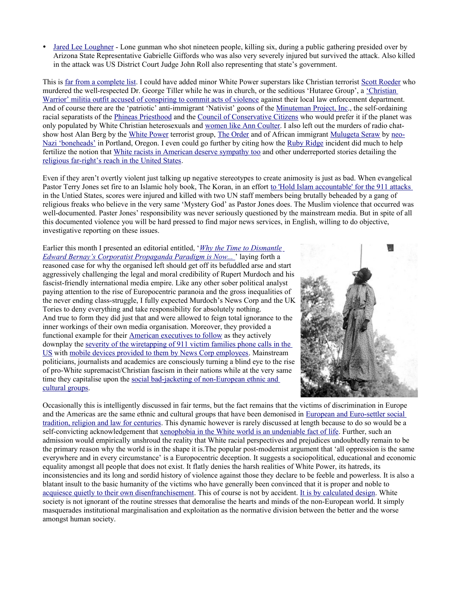[Jared Lee Loughner](http://en.wikipedia.org/wiki/2011_Tucson_shooting) - Lone gunman who shot nineteen people, killing six, during a public gathering presided over by Arizona State Representative Gabrielle Giffords who was also very severely injured but survived the attack. Also killed in the attack was US District Court Judge John Roll also representing that state's government.

This is [far from a complete list.](http://www.adl.org/learn/ext_us/Christian_Identity.asp?LEARN_Cat=Extremism&LEARN_SubCat=Extremism_in_America&xpicked=4&item=Christian_ID) I could have added minor White Power superstars like Christian terrorist [Scott Roeder](http://en.wikipedia.org/wiki/Scott_Roeder) who murdered the well-respected Dr. George Tiller while he was in church, or the seditious 'Hutaree Group', a ['Christian](http://en.wikipedia.org/wiki/Hutaree#Criminal_investigation) [Warrior' militia outfit accused of conspiring to commit acts of violence](http://en.wikipedia.org/wiki/Hutaree#Criminal_investigation) against their local law enforcement department. And of course there are the 'patriotic' anti-immigrant 'Nativist' goons of the [Minuteman Project, Inc.](http://en.wikipedia.org/wiki/Minuteman_Project), the self-ordaining racial separatists of the [Phineas Priesthood](http://en.wikipedia.org/wiki/Phineas_Priesthood) and the [Council of Conservative Citizens](http://en.wikipedia.org/wiki/Council_of_Conservative_Citizens) who would prefer it if the planet was only populated by White Christian heterosexuals and [women like Ann Coulter.](http://www.splcenter.org/get-informed/intelligence-report/browse-all-issues/2009/summer/hate-in-the-mainstream) I also left out the murders of radio chat-show host Alan Berg by the [White Power](http://en.wikipedia.org/wiki/White_Nationalism) terrorist group, [The Order](http://en.wikipedia.org/wiki/The_Order_(group)) and of African immigrant [Mulugeta Seraw](http://www.oregonlive.com/portland/index.ssf/2011/07/notorious_portland_skinhead_ke.html) by [neo-](http://www.urbandictionary.com/define.php?term=bonehead)[Nazi 'boneheads'](http://www.urbandictionary.com/define.php?term=bonehead) in Portland, Oregon. I even could go further by citing how the [Ruby Ridge](http://en.wikipedia.org/wiki/Ruby_Ridge) incident did much to help fertilize the notion that [White racists in American deserve sympathy too](http://www.cato.org/pub_display.php?pub_id=3574) and other underreported stories detailing the [religious far-right's reach in the United States.](http://www.secularnewsdaily.com/2011/07/26/christian-terrorism-exposed/)

Even if they aren't overtly violent just talking up negative stereotypes to create animosity is just as bad. When evangelical Pastor Terry Jones set fire to an Islamic holy book, The Koran, in an effort [to 'Hold Islam accountable' for the 911 attacks](http://www.dailymail.co.uk/news/article-1372442/Pastor-Terry-Jones-defiant-Koran-burning-led-2-UN-staff-beheaded.html) in the Untied States, scores were injured and killed with two UN staff members being brutally beheaded by a gang of religious freaks who believe in the very same 'Mystery God' as Pastor Jones does. The Muslim violence that occurred was well-documented. Paster Jones' responsibility was never seriously questioned by the mainstream media. But in spite of all this documented violence you will be hard pressed to find major news services, in English, willing to do objective, investigative reporting on these issues.

Earlier this month I presented an editorial entitled, '*[Why the Time to Dismantle](http://indigenist.blogspot.com/2011/07/why-time-to-dismantle-edward-bernays.html) [Edward Bernay's Corporatist Propaganda Paradigm is Now...](http://indigenist.blogspot.com/2011/07/why-time-to-dismantle-edward-bernays.html)* ' laying forth a reasoned case for why the organised left should get off its befuddled arse and start aggressively challenging the legal and moral credibility of Rupert Murdoch and his fascist-friendly international media empire. Like any other sober political analyst paying attention to the rise of Europocentric paranoia and the gross inequalities of the never ending class-struggle, I fully expected Murdoch's News Corp and the UK Tories to deny everything and take responsibility for absolutely nothing. And true to form they did just that and were allowed to feign total ignorance to the inner workings of their own media organisation. Moreover, they provided a functional example for their [American executives to follow](http://www.dailymail.co.uk/news/article-2020633/New-York-Post-reporters-told-preserve-phone-hacking-documents-News-Corp-prepares-U-S-probe.html) as they actively downplay the [severity of the wiretapping of 911 victim families phone calls in the](http://www.thenation.com/blog/162016/has-roger-ailes-hacked-american-phones-fox-news) [US](http://www.thenation.com/blog/162016/has-roger-ailes-hacked-american-phones-fox-news) with [mobile devices provided to them by News Corp employees.](http://www.guardian.co.uk/media/2011/jul/28/phone-hacking-sarah-payne) Mainstream politicians, journalists and academics are consciously turning a blind eye to the rise of pro-White supremacist/Christian fascism in their nations while at the very same time they capitalise upon the [social bad-jacketing of non-European ethnic and](http://www.zcommunications.org/racism-and-presidential-elections-since-1964-a-short-history-by-ted-glick) [cultural groups.](http://www.zcommunications.org/racism-and-presidential-elections-since-1964-a-short-history-by-ted-glick)



Occasionally this is intelligently discussed in fair terms, but the fact remains that the victims of discrimination in Europe and the Americas are the same ethnic and cultural groups that have been demonised in [European and Euro-settler social](http://en.wikipedia.org/wiki/Racism_in_Europe) [tradition, religion and law for centuries.](http://en.wikipedia.org/wiki/Racism_in_Europe) This dynamic however is rarely discussed at length because to do so would be a self-convicting acknowledgement that [xenophobia in the White world is an undeniable fact of life.](http://www.alternet.org/story/147204/we_have_a_black_president%2C_but_that_doesn) Further, such an admission would empirically unshroud the reality that White racial perspectives and prejudices undoubtedly remain to be the primary reason why the world is in the shape it is.The popular post-modernist argument that 'all oppression is the same everywhere and in every circumstance' is a Europocentric deception. It suggests a sociopolitical, educational and economic equality amongst all people that does not exist. It flatly denies the harsh realities of White Power, its hatreds, its inconsistencies and its long and sordid history of violence against those they declare to be feeble and powerless. It is also a blatant insult to the basic humanity of the victims who have generally been convinced that it is proper and noble to [acquiesce quietly to their own disenfranchisement.](http://www.annualreviews.org/doi/abs/10.1146/annurev.so.05.080179.000413) This of course is not by accident. [It is by calculated design.](http://academic.evergreen.edu/b/bohmerp/internalcolony.htm) White society is not ignorant of the routine stresses that demoralise the hearts and minds of the non-European world. It simply masquerades institutional marginalisation and exploitation as the normative division between the better and the worse amongst human society.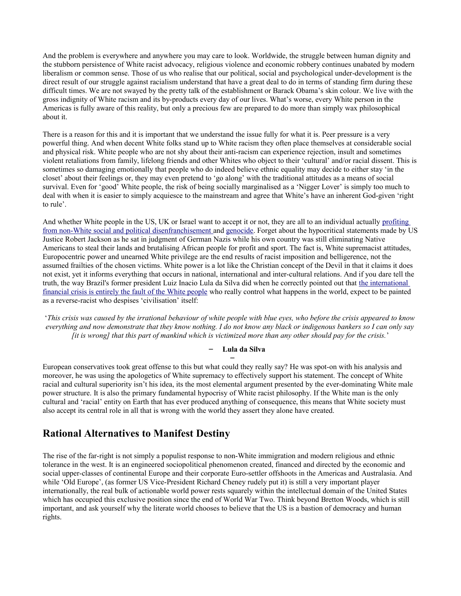And the problem is everywhere and anywhere you may care to look. Worldwide, the struggle between human dignity and the stubborn persistence of White racist advocacy, religious violence and economic robbery continues unabated by modern liberalism or common sense. Those of us who realise that our political, social and psychological under-development is the direct result of our struggle against racialism understand that have a great deal to do in terms of standing firm during these difficult times. We are not swayed by the pretty talk of the establishment or Barack Obama's skin colour. We live with the gross indignity of White racism and its by-products every day of our lives. What's worse, every White person in the Americas is fully aware of this reality, but only a precious few are prepared to do more than simply wax philosophical about it.

There is a reason for this and it is important that we understand the issue fully for what it is. Peer pressure is a very powerful thing. And when decent White folks stand up to White racism they often place themselves at considerable social and physical risk. White people who are not shy about their anti-racism can experience rejection, insult and sometimes violent retaliations from family, lifelong friends and other Whites who object to their 'cultural' and/or racial dissent. This is sometimes so damaging emotionally that people who do indeed believe ethnic equality may decide to either stay 'in the closet' about their feelings or, they may even pretend to 'go along' with the traditional attitudes as a means of social survival. Even for 'good' White people, the risk of being socially marginalised as a 'Nigger Lover' is simply too much to deal with when it is easier to simply acquiesce to the mainstream and agree that White's have an inherent God-given 'right to rule'.

And whether White people in the US, UK or Israel want to accept it or not, they are all to an individual actually [profiting](http://thinkprogress.org/justice/2011/06/23/251363/cca-geogroup-prison-industry/) [from non-White social and political disenfranchisement a](http://thinkprogress.org/justice/2011/06/23/251363/cca-geogroup-prison-industry/)nd [genocide.](http://dinewaterrights.org/a-long-historical-campaign-of-genocide-against-the-dineh/) Forget about the hypocritical statements made by US Justice Robert Jackson as he sat in judgment of German Nazis while his own country was still eliminating Native Americans to steal their lands and brutalising African people for profit and sport. The fact is, White supremacist attitudes, Europocentric power and unearned White privilege are the end results of racist imposition and belligerence, not the assumed frailties of the chosen victims. White power is a lot like the Christian concept of the Devil in that it claims it does not exist, yet it informs everything that occurs in national, international and inter-cultural relations. And if you dare tell the truth, the way Brazil's former president Luiz Inacio Lula da Silva did when he correctly pointed out that [the international](http://snafu-ed.blogspot.com/2009/03/economic-crisis-due-to-white-people.html) [financial crisis is entirely the fault of the White people](http://snafu-ed.blogspot.com/2009/03/economic-crisis-due-to-white-people.html) who really control what happens in the world, expect to be painted as a reverse-racist who despises 'civilisation' itself:

'*This crisis was caused by the irrational behaviour of white people with blue eyes, who before the crisis appeared to know everything and now demonstrate that they know nothing. I do not know any black or indigenous bankers so I can only say [it is wrong] that this part of mankind which is victimized more than any other should pay for the crisis.*'

#### – **Lula da Silva** –

European conservatives took great offense to this but what could they really say? He was spot-on with his analysis and moreover, he was using the apologetics of White supremacy to effectively support his statement. The concept of White racial and cultural superiority isn't his idea, its the most elemental argument presented by the ever-dominating White male power structure. It is also the primary fundamental hypocrisy of White racist philosophy. If the White man is the only cultural and 'racial' entity on Earth that has ever produced anything of consequence, this means that White society must also accept its central role in all that is wrong with the world they assert they alone have created.

#### **Rational Alternatives to Manifest Destiny**

The rise of the far-right is not simply a populist response to non-White immigration and modern religious and ethnic tolerance in the west. It is an engineered sociopolitical phenomenon created, financed and directed by the economic and social upper-classes of continental Europe and their corporate Euro-settler offshoots in the Americas and Australasia. And while 'Old Europe', (as former US Vice-President Richard Cheney rudely put it) is still a very important player internationally, the real bulk of actionable world power rests squarely within the intellectual domain of the United States which has occupied this exclusive position since the end of World War Two. Think beyond Bretton Woods, which is still important, and ask yourself why the literate world chooses to believe that the US is a bastion of democracy and human rights.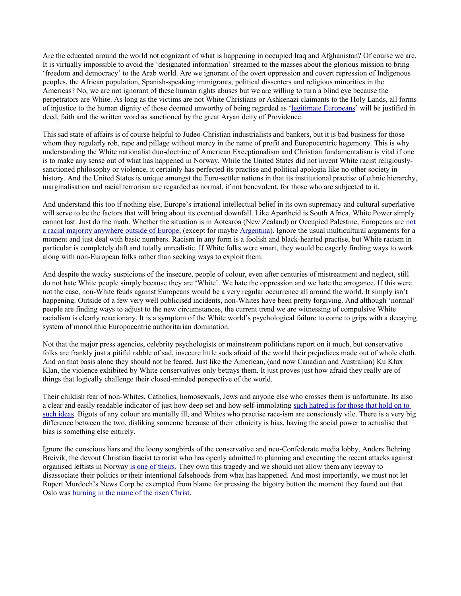Are the educated around the world not cognizant of what is happening in occupied Iraq and Afghanistan? Of course we are. It is virtually impossible to avoid the 'designated information' streamed to the masses about the glorious mission to bring 'freedom and democracy' to the Arab world. Are we ignorant of the overt oppression and covert repression of Indigenous peoples, the African population, Spanish-speaking immigrants, political dissenters and religious minorities in the Americas? No, we are not ignorant of these human rights abuses but we are willing to turn a blind eye because the perpetrators are White. As long as the victims are not White Christians or Ashkenazi claimants to the Holy Lands, all forms of injustice to the human dignity of those deemed unworthy of being regarded as ['legitimate Europeans'](http://www.msnbc.msn.com/id/39675001/ns/world_news-europe/t/serbia-grapples-surge-far-right-violence/) will be justified in deed, faith and the written word as sanctioned by the great Aryan deity of Providence.

This sad state of affairs is of course helpful to Judeo-Christian industrialists and bankers, but it is bad business for those whom they regularly rob, rape and pillage without mercy in the name of profit and Europocentric hegemony. This is why understanding the White nationalist duo-doctrine of American Exceptionalism and Christian fundamentalism is vital if one is to make any sense out of what has happened in Norway. While the United States did not invent White racist religiouslysanctioned philosophy or violence, it certainly has perfected its practise and political apologia like no other society in history. And the United States is unique amongst the Euro-settler nations in that its institutional practise of ethnic hierarchy, marginalisation and racial terrorism are regarded as normal, if not benevolent, for those who are subjected to it.

And understand this too if nothing else, Europe's irrational intellectual belief in its own supremacy and cultural superlative will serve to be the factors that will bring about its eventual downfall. Like Apartheid is South Africa, White Power simply cannot last. Just do the math. Whether the situation is in Aotearoa (New Zealand) or Occupied Palestine, Europeans are [not](http://www.wilsonquarterly.com/article.cfm?aid=1408) [a racial majority anywhere outside of Europe,](http://www.wilsonquarterly.com/article.cfm?aid=1408) (except for maybe [Argentina\)](http://en.wikipedia.org/wiki/Demographics_of_Argentina). Ignore the usual multicultural arguments for a moment and just deal with basic numbers. Racism in any form is a foolish and black-hearted practise, but White racism in particular is completely daft and totally unrealistic. If White folks were smart, they would be eagerly finding ways to work along with non-European folks rather than seeking ways to exploit them.

And despite the wacky suspicions of the insecure, people of colour, even after centuries of mistreatment and neglect, still do not hate White people simply because they are 'White'. We hate the oppression and we hate the arrogance. If this were not the case, non-White feuds against Europeans would be a very regular occurrence all around the world. It simply isn't happening. Outside of a few very well publicised incidents, non-Whites have been pretty forgiving. And although 'normal' people are finding ways to adjust to the new circumstances, the current trend we are witnessing of compulsive White racialism is clearly reactionary. It is a symptom of the White world's psychological failure to come to grips with a decaying system of monolithic Europocentric authoritarian domination.

Not that the major press agencies, celebrity psychologists or mainstream politicians report on it much, but conservative folks are frankly just a pitiful rabble of sad, insecure little sods afraid of the world their prejudices made out of whole cloth. And on that basis alone they should not be feared. Just like the American, (and now Canadian and Australian) Ku Klux Klan, the violence exhibited by White conservatives only betrays them. It just proves just how afraid they really are of things that logically challenge their closed-minded perspective of the world.

Their childish fear of non-Whites, Catholics, homosexuals, Jews and anyone else who crosses them is unfortunate. Its also a clear and easily readable indicator of just how deep set and how self-immolating [such hatred is for those that hold on to](http://www.swedishwire.com/component/content/article/2-politics/10797-how-the-far-right-took-hold-in-tolerant-nordics) [such ideas.](http://www.swedishwire.com/component/content/article/2-politics/10797-how-the-far-right-took-hold-in-tolerant-nordics) Bigots of any colour are mentally ill, and Whites who practise race-ism are consciously vile. There is a very big difference between the two, disliking someone because of their ethnicity is bias, having the social power to actualise that bias is something else entirely.

Ignore the conscious liars and the loony songbirds of the conservative and neo-Confederate media lobby, Anders Behring Breivik, the devout Christian fascist terrorist who has openly admitted to planning and executing the recent attacks against organised leftists in Norway [is one of theirs.](http://www.ipsnews.net/news.asp?idnews=56618) They own this tragedy and we should not allow them any leeway to disassociate their politics or their intentional falsehoods from what has happened. And most importantly, we must not let Rupert Murdoch's News Corp be exempted from blame for pressing the bigotry button the moment they found out that Oslo was [burning in the name of the risen Christ.](http://www.newscorpse.com/ncWP/?p=4997)